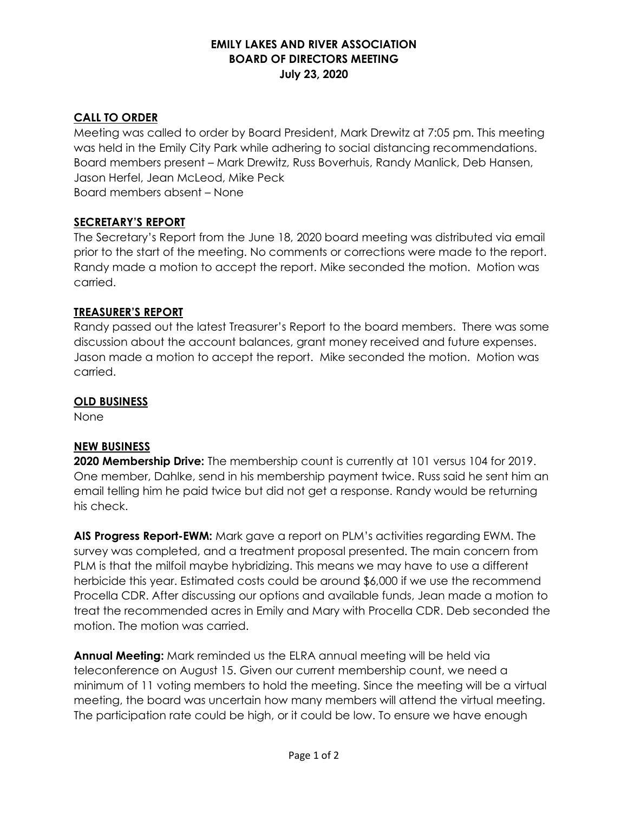## **EMILY LAKES AND RIVER ASSOCIATION BOARD OF DIRECTORS MEETING July 23, 2020**

# **CALL TO ORDER**

Meeting was called to order by Board President, Mark Drewitz at 7:05 pm. This meeting was held in the Emily City Park while adhering to social distancing recommendations. Board members present – Mark Drewitz, Russ Boverhuis, Randy Manlick, Deb Hansen, Jason Herfel, Jean McLeod, Mike Peck Board members absent – None

## **SECRETARY'S REPORT**

The Secretary's Report from the June 18, 2020 board meeting was distributed via email prior to the start of the meeting. No comments or corrections were made to the report. Randy made a motion to accept the report. Mike seconded the motion. Motion was carried.

## **TREASURER'S REPORT**

Randy passed out the latest Treasurer's Report to the board members. There was some discussion about the account balances, grant money received and future expenses. Jason made a motion to accept the report. Mike seconded the motion. Motion was carried.

#### **OLD BUSINESS**

None

## **NEW BUSINESS**

**2020 Membership Drive:** The membership count is currently at 101 versus 104 for 2019. One member, Dahlke, send in his membership payment twice. Russ said he sent him an email telling him he paid twice but did not get a response. Randy would be returning his check.

**AIS Progress Report-EWM:** Mark gave a report on PLM's activities regarding EWM. The survey was completed, and a treatment proposal presented. The main concern from PLM is that the milfoil maybe hybridizing. This means we may have to use a different herbicide this year. Estimated costs could be around \$6,000 if we use the recommend Procella CDR. After discussing our options and available funds, Jean made a motion to treat the recommended acres in Emily and Mary with Procella CDR. Deb seconded the motion. The motion was carried.

**Annual Meeting:** Mark reminded us the ELRA annual meeting will be held via teleconference on August 15. Given our current membership count, we need a minimum of 11 voting members to hold the meeting. Since the meeting will be a virtual meeting, the board was uncertain how many members will attend the virtual meeting. The participation rate could be high, or it could be low. To ensure we have enough